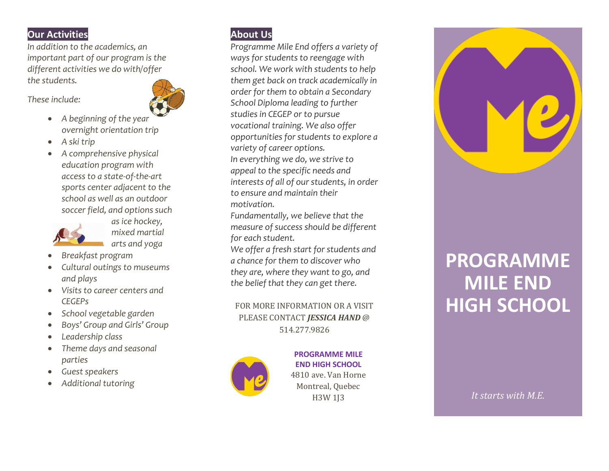## **Our Activities**

*In addition to the academics, an important part of our program is the different activities we do with/offer the students.*

*These include:*

- *A beginning of the year overnight orientation trip*
- *A ski trip*
- *A comprehensive physical education program with access to a state -of-the -art sports center adjacent to the school as well as an outdoor soccer field, and options such*



*as ice hockey, mixed martial arts and yoga*

- *Breakfast program*
- *Cultural outings to museums and plays*
- *Visits to career centers and CEGEPs*
- *School vegetable garden*
- *Boys' Group and Girls' Group*
- *Leadership class*
- *Theme days and seasonal parties*
- *Guest speakers*
- *Additional tutoring*



*Programme Mile End offers a variety of ways for students to reengage with school. We work with students to help them get back on track academically in order for them to obtain a Secondary School Diploma leading to further studies in CEGEP or to pursue vocational training. We also offer opportunities for students to explore a variety of career options. In everything we do, we strive to appeal to the specific needs and interests of all of our students, in order to ensure and maintain their motivation.*

*Fundamentally, we believe that the measure of success should be different for each student.*

*We offe r a fresh start for students and a chance for them to discover who they are, where they want to go, and the belief that they can get there.*

FOR MORE INFORMATION OR A VISIT PLEASE CONTACT *JESSICA HAND* @ 514.277.9826



 $\overline{113}$  vv **PROGRAMME MILE END HIGH SCHOOL** 4810 ave. Van Horne Montreal, Quebec H3W 1J3



# **PROGRAMME MILE END HIGH SCHOOL**

 *It starts with M. E.*